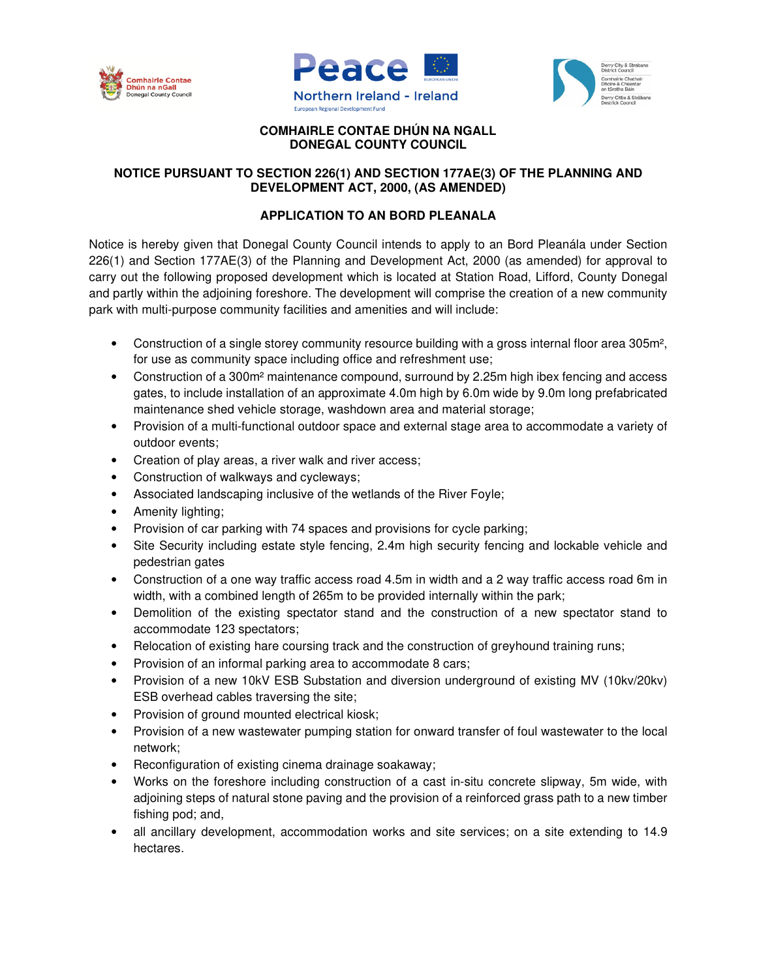





## **COMHAIRLE CONTAE DHÚN NA NGALL DONEGAL COUNTY COUNCIL**

## **NOTICE PURSUANT TO SECTION 226(1) AND SECTION 177AE(3) OF THE PLANNING AND DEVELOPMENT ACT, 2000, (AS AMENDED)**

## **APPLICATION TO AN BORD PLEANALA**

Notice is hereby given that Donegal County Council intends to apply to an Bord Pleanála under Section 226(1) and Section 177AE(3) of the Planning and Development Act, 2000 (as amended) for approval to carry out the following proposed development which is located at Station Road, Lifford, County Donegal and partly within the adjoining foreshore. The development will comprise the creation of a new community park with multi-purpose community facilities and amenities and will include:

- Construction of a single storey community resource building with a gross internal floor area 305m<sup>2</sup>, for use as community space including office and refreshment use;
- Construction of a 300m<sup>2</sup> maintenance compound, surround by 2.25m high ibex fencing and access gates, to include installation of an approximate 4.0m high by 6.0m wide by 9.0m long prefabricated maintenance shed vehicle storage, washdown area and material storage;
- Provision of a multi-functional outdoor space and external stage area to accommodate a variety of outdoor events;
- Creation of play areas, a river walk and river access;
- Construction of walkways and cycleways;
- Associated landscaping inclusive of the wetlands of the River Foyle;
- Amenity lighting:
- Provision of car parking with 74 spaces and provisions for cycle parking;
- Site Security including estate style fencing, 2.4m high security fencing and lockable vehicle and pedestrian gates
- Construction of a one way traffic access road 4.5m in width and a 2 way traffic access road 6m in width, with a combined length of 265m to be provided internally within the park;
- Demolition of the existing spectator stand and the construction of a new spectator stand to accommodate 123 spectators;
- Relocation of existing hare coursing track and the construction of greyhound training runs;
- Provision of an informal parking area to accommodate 8 cars;
- Provision of a new 10kV ESB Substation and diversion underground of existing MV (10kv/20kv) ESB overhead cables traversing the site;
- Provision of ground mounted electrical kiosk;
- Provision of a new wastewater pumping station for onward transfer of foul wastewater to the local network;
- Reconfiguration of existing cinema drainage soakaway;
- Works on the foreshore including construction of a cast in-situ concrete slipway, 5m wide, with adjoining steps of natural stone paving and the provision of a reinforced grass path to a new timber fishing pod; and,
- all ancillary development, accommodation works and site services; on a site extending to 14.9 hectares.